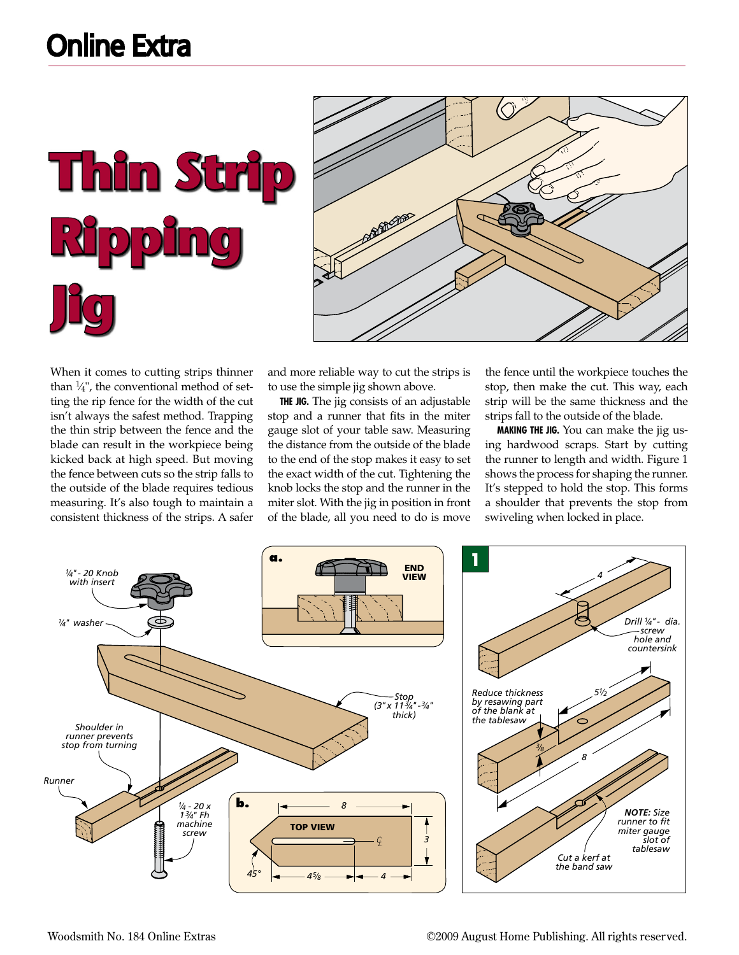**Thin Strip Ripping Jig** 



When it comes to cutting strips thinner than  $\frac{1}{4}$ , the conventional method of setting the rip fence for the width of the cut isn't always the safest method. Trapping the thin strip between the fence and the blade can result in the workpiece being kicked back at high speed. But moving the fence between cuts so the strip falls to the outside of the blade requires tedious measuring. It's also tough to maintain a consistent thickness of the strips. A safer

and more reliable way to cut the strips is to use the simple jig shown above.

**The Jig.** The jig consists of an adjustable stop and a runner that fits in the miter gauge slot of your table saw. Measuring the distance from the outside of the blade to the end of the stop makes it easy to set the exact width of the cut. Tightening the knob locks the stop and the runner in the miter slot. With the jig in position in front of the blade, all you need to do is move the fence until the workpiece touches the stop, then make the cut. This way, each strip will be the same thickness and the strips fall to the outside of the blade.

**Making the Jig.** You can make the jig using hardwood scraps. Start by cutting the runner to length and width. Figure 1 shows the process for shaping the runner. It's stepped to hold the stop. This forms a shoulder that prevents the stop from swiveling when locked in place.